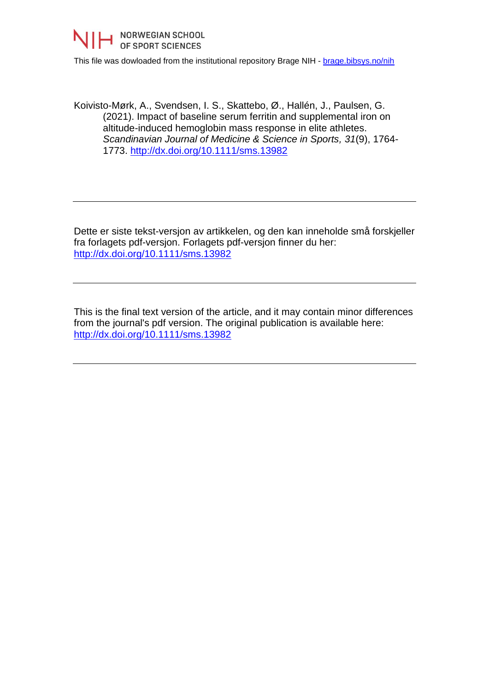

This file was dowloaded from the institutional repository Brage NIH - [brage.bibsys.no/nih](http://brage.bibsys.no/nih)

Koivisto-Mørk, A., Svendsen, I. S., Skattebo, Ø., Hallén, J., Paulsen, G. (2021). Impact of baseline serum ferritin and supplemental iron on altitude-induced hemoglobin mass response in elite athletes. *Scandinavian Journal of Medicine & Science in Sports, 31*(9), 1764- 1773.<http://dx.doi.org/10.1111/sms.13982>

Dette er siste tekst-versjon av artikkelen, og den kan inneholde små forskjeller fra forlagets pdf-versjon. Forlagets pdf-versjon finner du her: <http://dx.doi.org/10.1111/sms.13982>

This is the final text version of the article, and it may contain minor differences from the journal's pdf version. The original publication is available here: <http://dx.doi.org/10.1111/sms.13982>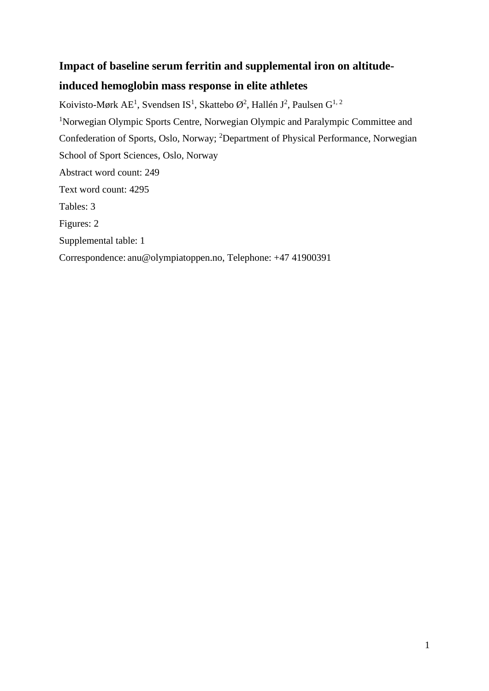# **Impact of baseline serum ferritin and supplemental iron on altitude-**

# **induced hemoglobin mass response in elite athletes**

Koivisto-Mørk AE<sup>1</sup>, Svendsen IS<sup>1</sup>, Skattebo Ø<sup>2</sup>, Hallén J<sup>2</sup>, Paulsen G<sup>1, 2</sup> <sup>1</sup>Norwegian Olympic Sports Centre, Norwegian Olympic and Paralympic Committee and Confederation of Sports, Oslo, Norway; <sup>2</sup>Department of Physical Performance, Norwegian School of Sport Sciences, Oslo, Norway Abstract word count: 249 Text word count: 4295 Tables: 3 Figures: 2 Supplemental table: 1 Correspondence: anu@olympiatoppen.no, Telephone: +47 41900391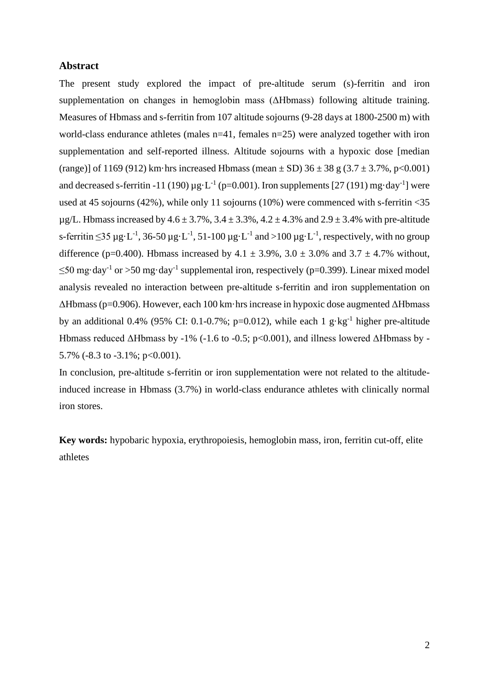## **Abstract**

The present study explored the impact of pre-altitude serum (s)-ferritin and iron supplementation on changes in hemoglobin mass (ΔHbmass) following altitude training. Measures of Hbmass and s-ferritin from 107 altitude sojourns (9-28 days at 1800-2500 m) with world-class endurance athletes (males n=41, females n=25) were analyzed together with iron supplementation and self-reported illness. Altitude sojourns with a hypoxic dose [median (range)] of 1169 (912) km·hrs increased Hbmass (mean  $\pm$  SD) 36  $\pm$  38 g (3.7  $\pm$  3.7%, p<0.001) and decreased s-ferritin -11 (190)  $\mu$ g·L<sup>-1</sup> (p=0.001). Iron supplements [27 (191) mg·day<sup>-1</sup>] were used at 45 sojourns (42%), while only 11 sojourns (10%) were commenced with s-ferritin <35  $\mu$ g/L. Hbmass increased by 4.6 ± 3.7%, 3.4 ± 3.3%, 4.2 ± 4.3% and 2.9 ± 3.4% with pre-altitude s-ferritin  $\leq$ 35 µg·L<sup>-1</sup>, 36-50 µg·L<sup>-1</sup>, 51-100 µg·L<sup>-1</sup> and >100 µg·L<sup>-1</sup>, respectively, with no group difference (p=0.400). Hbmass increased by  $4.1 \pm 3.9\%$ ,  $3.0 \pm 3.0\%$  and  $3.7 \pm 4.7\%$  without,  $\leq$ 50 mg·day<sup>-1</sup> or >50 mg·day<sup>-1</sup> supplemental iron, respectively (p=0.399). Linear mixed model analysis revealed no interaction between pre-altitude s-ferritin and iron supplementation on ΔHbmass (p=0.906). However, each 100 km·hrs increase in hypoxic dose augmented ΔHbmass by an additional 0.4% (95% CI: 0.1-0.7%; p=0.012), while each 1  $g \cdot kg^{-1}$  higher pre-altitude Hbmass reduced ΔHbmass by -1% (-1.6 to -0.5; p<0.001), and illness lowered ΔHbmass by - 5.7% (-8.3 to -3.1%;  $p<0.001$ ).

In conclusion, pre-altitude s-ferritin or iron supplementation were not related to the altitudeinduced increase in Hbmass (3.7%) in world-class endurance athletes with clinically normal iron stores.

**Key words:** hypobaric hypoxia, erythropoiesis, hemoglobin mass, iron, ferritin cut-off, elite athletes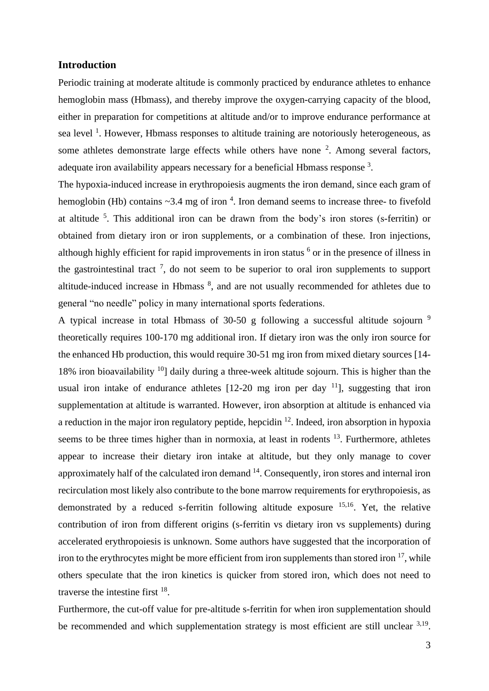## **Introduction**

Periodic training at moderate altitude is commonly practiced by endurance athletes to enhance hemoglobin mass (Hbmass), and thereby improve the oxygen-carrying capacity of the blood, either in preparation for competitions at altitude and/or to improve endurance performance at sea level<sup>1</sup>. However, Hbmass responses to altitude training are notoriously heterogeneous, as some athletes demonstrate large effects while others have none  $2$ . Among several factors, adequate iron availability appears necessary for a beneficial Hbmass response<sup>3</sup>.

The hypoxia-induced increase in erythropoiesis augments the iron demand, since each gram of hemoglobin (Hb) contains  $\sim$ 3.4 mg of iron  $4$ . Iron demand seems to increase three- to fivefold at altitude  $5$ . This additional iron can be drawn from the body's iron stores (s-ferritin) or obtained from dietary iron or iron supplements, or a combination of these. Iron injections, although highly efficient for rapid improvements in iron status <sup>6</sup> or in the presence of illness in the gastrointestinal tract<sup>7</sup>, do not seem to be superior to oral iron supplements to support altitude-induced increase in Hbmass  $\delta$ , and are not usually recommended for athletes due to general "no needle" policy in many international sports federations.

A typical increase in total Hbmass of 30-50 g following a successful altitude sojourn  $9$ theoretically requires 100-170 mg additional iron. If dietary iron was the only iron source for the enhanced Hb production, this would require 30-51 mg iron from mixed dietary sources [14- 18% iron bioavailability  $10$ ] daily during a three-week altitude sojourn. This is higher than the usual iron intake of endurance athletes  $[12-20$  mg iron per day  $11$ ], suggesting that iron supplementation at altitude is warranted. However, iron absorption at altitude is enhanced via a reduction in the major iron regulatory peptide, hepcidin  $^{12}$ . Indeed, iron absorption in hypoxia seems to be three times higher than in normoxia, at least in rodents  $13$ . Furthermore, athletes appear to increase their dietary iron intake at altitude, but they only manage to cover approximately half of the calculated iron demand <sup>14</sup>. Consequently, iron stores and internal iron recirculation most likely also contribute to the bone marrow requirements for erythropoiesis, as demonstrated by a reduced s-ferritin following altitude exposure <sup>15,16</sup>. Yet, the relative contribution of iron from different origins (s-ferritin vs dietary iron vs supplements) during accelerated erythropoiesis is unknown. Some authors have suggested that the incorporation of iron to the erythrocytes might be more efficient from iron supplements than stored iron  $17$ , while others speculate that the iron kinetics is quicker from stored iron, which does not need to traverse the intestine first  $18$ .

Furthermore, the cut-off value for pre-altitude s-ferritin for when iron supplementation should be recommended and which supplementation strategy is most efficient are still unclear 3,19.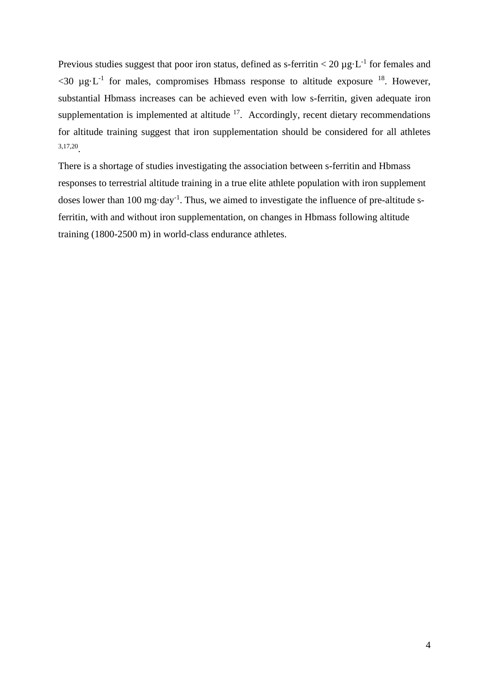Previous studies suggest that poor iron status, defined as s-ferritin  $<$  20  $\mu$ g·L<sup>-1</sup> for females and  $<$ 30 µg·L<sup>-1</sup> for males, compromises Hbmass response to altitude exposure <sup>18</sup>. However, substantial Hbmass increases can be achieved even with low s-ferritin, given adequate iron supplementation is implemented at altitude  $17$ . Accordingly, recent dietary recommendations for altitude training suggest that iron supplementation should be considered for all athletes 3,17,20 .

There is a shortage of studies investigating the association between s-ferritin and Hbmass responses to terrestrial altitude training in a true elite athlete population with iron supplement doses lower than 100 mg·day<sup>-1</sup>. Thus, we aimed to investigate the influence of pre-altitude sferritin, with and without iron supplementation, on changes in Hbmass following altitude training (1800-2500 m) in world-class endurance athletes.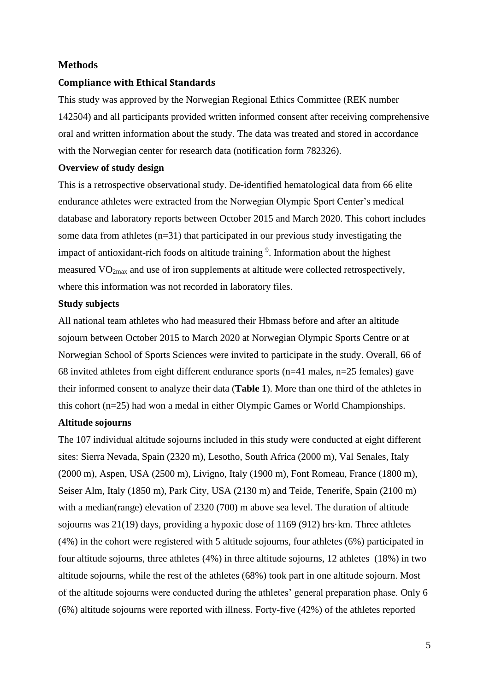## **Methods**

#### **Compliance with Ethical Standards**

This study was approved by the Norwegian Regional Ethics Committee (REK number 142504) and all participants provided written informed consent after receiving comprehensive oral and written information about the study. The data was treated and stored in accordance with the Norwegian center for research data (notification form 782326).

#### **Overview of study design**

This is a retrospective observational study. De-identified hematological data from 66 elite endurance athletes were extracted from the Norwegian Olympic Sport Center's medical database and laboratory reports between October 2015 and March 2020. This cohort includes some data from athletes (n=31) that participated in our previous study investigating the impact of antioxidant-rich foods on altitude training <sup>9</sup>. Information about the highest measured  $VO<sub>2max</sub>$  and use of iron supplements at altitude were collected retrospectively, where this information was not recorded in laboratory files.

### **Study subjects**

All national team athletes who had measured their Hbmass before and after an altitude sojourn between October 2015 to March 2020 at Norwegian Olympic Sports Centre or at Norwegian School of Sports Sciences were invited to participate in the study. Overall, 66 of 68 invited athletes from eight different endurance sports ( $n=41$  males,  $n=25$  females) gave their informed consent to analyze their data (**Table 1**). More than one third of the athletes in this cohort (n=25) had won a medal in either Olympic Games or World Championships.

## **Altitude sojourns**

The 107 individual altitude sojourns included in this study were conducted at eight different sites: Sierra Nevada, Spain (2320 m), Lesotho, South Africa (2000 m), Val Senales, Italy (2000 m), Aspen, USA (2500 m), Livigno, Italy (1900 m), Font Romeau, France (1800 m), Seiser Alm, Italy (1850 m), Park City, USA (2130 m) and Teide, Tenerife, Spain (2100 m) with a median(range) elevation of 2320 (700) m above sea level. The duration of altitude sojourns was 21(19) days, providing a hypoxic dose of 1169 (912) hrs·km. Three athletes (4%) in the cohort were registered with 5 altitude sojourns, four athletes (6%) participated in four altitude sojourns, three athletes (4%) in three altitude sojourns, 12 athletes (18%) in two altitude sojourns, while the rest of the athletes (68%) took part in one altitude sojourn. Most of the altitude sojourns were conducted during the athletes' general preparation phase. Only 6 (6%) altitude sojourns were reported with illness. Forty-five (42%) of the athletes reported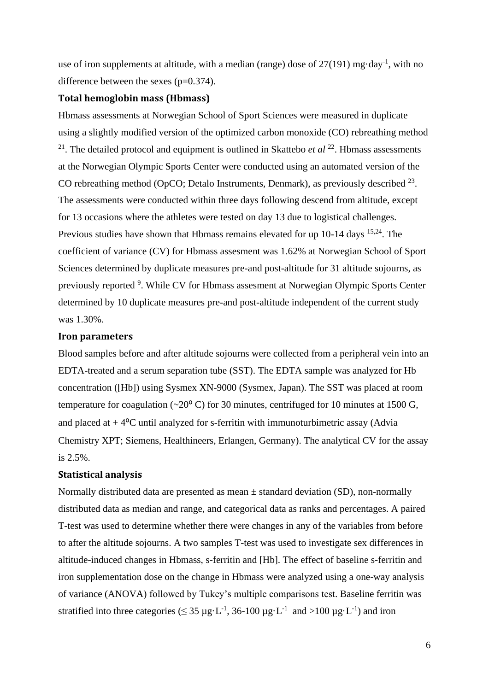use of iron supplements at altitude, with a median (range) dose of  $27(191)$  mg·day<sup>-1</sup>, with no difference between the sexes (p=0.374).

## **Total hemoglobin mass (Hbmass)**

Hbmass assessments at Norwegian School of Sport Sciences were measured in duplicate using a slightly modified version of the optimized carbon monoxide (CO) rebreathing method <sup>21</sup>. The detailed protocol and equipment is outlined in Skattebo *et al* <sup>22</sup>. Hbmass assessments at the Norwegian Olympic Sports Center were conducted using an automated version of the CO rebreathing method (OpCO; Detalo Instruments, Denmark), as previously described  $^{23}$ . The assessments were conducted within three days following descend from altitude, except for 13 occasions where the athletes were tested on day 13 due to logistical challenges. Previous studies have shown that Hbmass remains elevated for up 10-14 days <sup>15,24</sup>. The coefficient of variance (CV) for Hbmass assesment was 1.62% at Norwegian School of Sport Sciences determined by duplicate measures pre-and post-altitude for 31 altitude sojourns, as previously reported <sup>9</sup>. While CV for Hbmass assesment at Norwegian Olympic Sports Center determined by 10 duplicate measures pre-and post-altitude independent of the current study was 1.30%.

## **Iron parameters**

Blood samples before and after altitude sojourns were collected from a peripheral vein into an EDTA-treated and a serum separation tube (SST). The EDTA sample was analyzed for Hb concentration ([Hb]) using Sysmex XN-9000 (Sysmex, Japan). The SST was placed at room temperature for coagulation ( $\sim$ 20 $\degree$ C) for 30 minutes, centrifuged for 10 minutes at 1500 G, and placed at  $+4$ <sup>o</sup>C until analyzed for s-ferritin with immunoturbimetric assay (Advia Chemistry XPT; Siemens, Healthineers, Erlangen, Germany). The analytical CV for the assay is 2.5%.

#### **Statistical analysis**

Normally distributed data are presented as mean  $\pm$  standard deviation (SD), non-normally distributed data as median and range, and categorical data as ranks and percentages. A paired T-test was used to determine whether there were changes in any of the variables from before to after the altitude sojourns. A two samples T-test was used to investigate sex differences in altitude-induced changes in Hbmass, s-ferritin and [Hb]. The effect of baseline s-ferritin and iron supplementation dose on the change in Hbmass were analyzed using a one-way analysis of variance (ANOVA) followed by Tukey's multiple comparisons test. Baseline ferritin was stratified into three categories ( $\leq 35 \,\mu g \cdot L^{-1}$ , 36-100  $\mu g \cdot L^{-1}$  and  $>100 \,\mu g \cdot L^{-1}$ ) and iron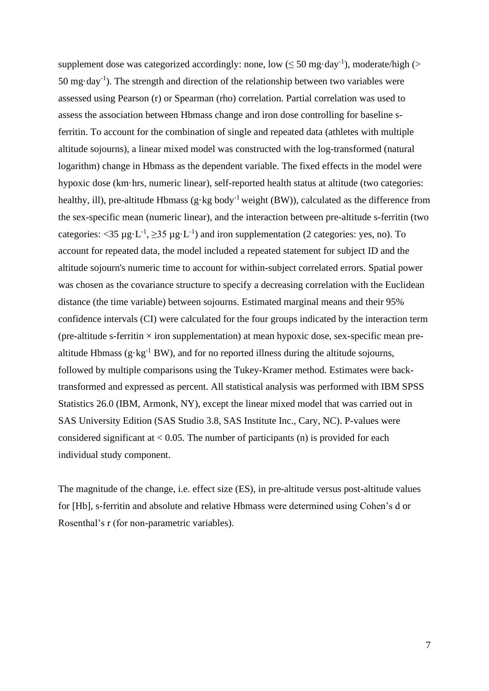supplement dose was categorized accordingly: none, low ( $\leq$  50 mg·day<sup>-1</sup>), moderate/high (> 50 mg $\cdot$ day<sup>-1</sup>). The strength and direction of the relationship between two variables were assessed using Pearson (r) or Spearman (rho) correlation. Partial correlation was used to assess the association between Hbmass change and iron dose controlling for baseline sferritin. To account for the combination of single and repeated data (athletes with multiple altitude sojourns), a linear mixed model was constructed with the log-transformed (natural logarithm) change in Hbmass as the dependent variable. The fixed effects in the model were hypoxic dose (km·hrs, numeric linear), self-reported health status at altitude (two categories: healthy, ill), pre-altitude Hbmass (g·kg body<sup>-1</sup> weight (BW)), calculated as the difference from the sex-specific mean (numeric linear), and the interaction between pre-altitude s-ferritin (two categories: <35  $\mu$ g·L<sup>-1</sup>, ≥35  $\mu$ g·L<sup>-1</sup>) and iron supplementation (2 categories: yes, no). To account for repeated data, the model included a repeated statement for subject ID and the altitude sojourn's numeric time to account for within-subject correlated errors. Spatial power was chosen as the covariance structure to specify a decreasing correlation with the Euclidean distance (the time variable) between sojourns. Estimated marginal means and their 95% confidence intervals (CI) were calculated for the four groups indicated by the interaction term (pre-altitude s-ferritin  $\times$  iron supplementation) at mean hypoxic dose, sex-specific mean prealtitude Hbmass  $(g \cdot kg^{-1}BW)$ , and for no reported illness during the altitude sojourns, followed by multiple comparisons using the Tukey-Kramer method. Estimates were backtransformed and expressed as percent. All statistical analysis was performed with IBM SPSS Statistics 26.0 (IBM, Armonk, NY), except the linear mixed model that was carried out in SAS University Edition (SAS Studio 3.8, SAS Institute Inc., Cary, NC). P-values were considered significant at  $< 0.05$ . The number of participants (n) is provided for each individual study component.

The magnitude of the change, i.e. effect size (ES), in pre-altitude versus post-altitude values for [Hb], s-ferritin and absolute and relative Hbmass were determined using Cohen's d or Rosenthal's r (for non-parametric variables).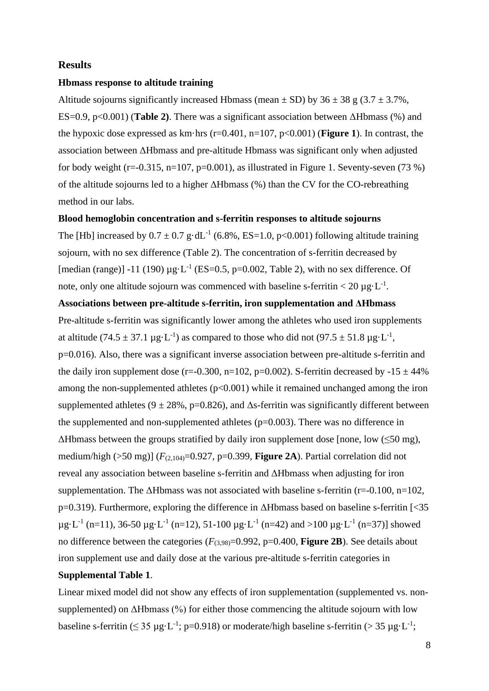## **Results**

#### **Hbmass response to altitude training**

Altitude sojourns significantly increased Hbmass (mean  $\pm$  SD) by 36  $\pm$  38 g (3.7  $\pm$  3.7%, ES=0.9, p<0.001) (**Table 2)**. There was a significant association between ΔHbmass (%) and the hypoxic dose expressed as km·hrs (r=0.401, n=107, p<0.001) (**Figure 1**). In contrast, the association between ΔHbmass and pre-altitude Hbmass was significant only when adjusted for body weight (r=-0.315, n=107, p=0.001), as illustrated in Figure 1. Seventy-seven (73 %) of the altitude sojourns led to a higher ΔHbmass (%) than the CV for the CO-rebreathing method in our labs.

#### **Blood hemoglobin concentration and s-ferritin responses to altitude sojourns**

The [Hb] increased by  $0.7 \pm 0.7$  g·dL<sup>-1</sup> (6.8%, ES=1.0, p<0.001) following altitude training sojourn, with no sex difference (Table 2). The concentration of s-ferritin decreased by [median (range)] -11 (190)  $\mu$ g·L<sup>-1</sup> (ES=0.5, p=0.002, Table 2), with no sex difference. Of note, only one altitude sojourn was commenced with baseline s-ferritin  $< 20 \mu g \cdot L^{-1}$ .

## **Associations between pre-altitude s-ferritin, iron supplementation and ΔHbmass**

Pre-altitude s-ferritin was significantly lower among the athletes who used iron supplements at altitude (74.5  $\pm$  37.1 µg·L<sup>-1</sup>) as compared to those who did not (97.5  $\pm$  51.8 µg·L<sup>-1</sup>, p=0.016). Also, there was a significant inverse association between pre-altitude s-ferritin and the daily iron supplement dose (r=-0.300, n=102, p=0.002). S-ferritin decreased by  $-15 \pm 44\%$ among the non-supplemented athletes  $(p<0.001)$  while it remained unchanged among the iron supplemented athletes (9  $\pm$  28%, p=0.826), and  $\Delta$ s-ferritin was significantly different between the supplemented and non-supplemented athletes  $(p=0.003)$ . There was no difference in  $\Delta$ Hbmass between the groups stratified by daily iron supplement dose [none, low ( $\leq$ 50 mg), medium/high ( $>50$  mg)] ( $F_{(2,104)}=0.927$ , p=0.399, **Figure 2A**). Partial correlation did not reveal any association between baseline s-ferritin and ΔHbmass when adjusting for iron supplementation. The  $\Delta H$ bmass was not associated with baseline s-ferritin (r=-0.100, n=102, p=0.319). Furthermore, exploring the difference in ΔHbmass based on baseline s-ferritin [<35  $\mu$ g·L<sup>-1</sup> (n=11), 36-50  $\mu$ g·L<sup>-1</sup> (n=12), 51-100  $\mu$ g·L<sup>-1</sup> (n=42) and >100  $\mu$ g·L<sup>-1</sup> (n=37)] showed no difference between the categories  $(F_{(3,98)}=0.992, p=0.400,$  **Figure 2B**). See details about iron supplement use and daily dose at the various pre-altitude s-ferritin categories in

# **Supplemental Table 1**.

Linear mixed model did not show any effects of iron supplementation (supplemented vs. nonsupplemented) on ΔHbmass (%) for either those commencing the altitude sojourn with low baseline s-ferritin ( $\leq 35 \mu g \cdot L^{-1}$ ; p=0.918) or moderate/high baseline s-ferritin ( $> 35 \mu g \cdot L^{-1}$ ;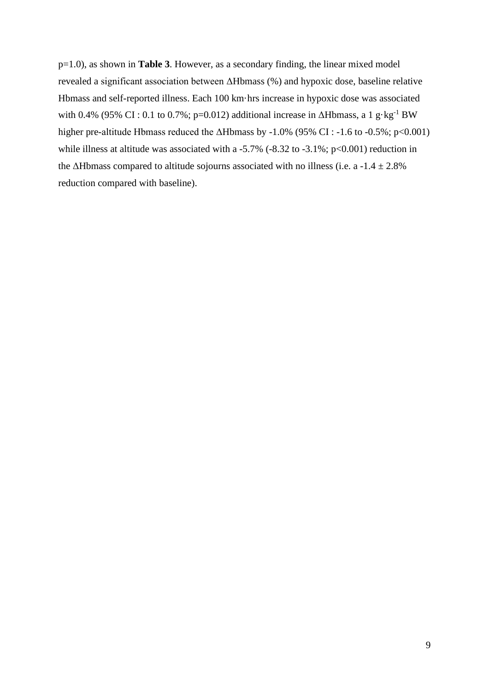p=1.0), as shown in **Table 3**. However, as a secondary finding, the linear mixed model revealed a significant association between ΔHbmass (%) and hypoxic dose, baseline relative Hbmass and self-reported illness. Each 100 km·hrs increase in hypoxic dose was associated with 0.4% (95% CI : 0.1 to 0.7%; p=0.012) additional increase in  $\Delta H$ bmass, a 1 g·kg<sup>-1</sup> BW higher pre-altitude Hbmass reduced the  $\Delta$ Hbmass by -1.0% (95% CI : -1.6 to -0.5%; p<0.001) while illness at altitude was associated with a -5.7% (-8.32 to -3.1%;  $p<0.001$ ) reduction in the  $\Delta$ Hbmass compared to altitude sojourns associated with no illness (i.e. a -1.4  $\pm$  2.8%) reduction compared with baseline).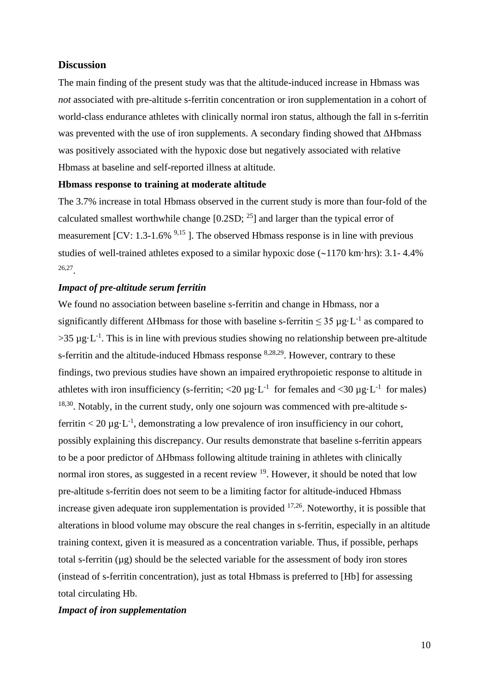## **Discussion**

The main finding of the present study was that the altitude-induced increase in Hbmass was *not* associated with pre-altitude s-ferritin concentration or iron supplementation in a cohort of world-class endurance athletes with clinically normal iron status, although the fall in s-ferritin was prevented with the use of iron supplements. A secondary finding showed that ΔHbmass was positively associated with the hypoxic dose but negatively associated with relative Hbmass at baseline and self-reported illness at altitude.

## **Hbmass response to training at moderate altitude**

The 3.7% increase in total Hbmass observed in the current study is more than four-fold of the calculated smallest worthwhile change  $[0.2SD; <sup>25</sup>]$  and larger than the typical error of measurement  $[CV: 1.3-1.6\%$  <sup>9,15</sup>]. The observed Hbmass response is in line with previous studies of well-trained athletes exposed to a similar hypoxic dose  $(-1170 \text{ km} \cdot \text{hrs})$ : 3.1-4.4% 26,27 .

## *Impact of pre-altitude serum ferritin*

We found no association between baseline s-ferritin and change in Hbmass, nor a significantly different  $\Delta H$ bmass for those with baseline s-ferritin  $\leq 35 \mu g \cdot L^{-1}$  as compared to  $>35 \mu g \cdot L^{-1}$ . This is in line with previous studies showing no relationship between pre-altitude s-ferritin and the altitude-induced Hbmass response  $8,28,29$ . However, contrary to these findings, two previous studies have shown an impaired erythropoietic response to altitude in athletes with iron insufficiency (s-ferritin; <20  $\mu$ g·L<sup>-1</sup> for females and <30  $\mu$ g·L<sup>-1</sup> for males) <sup>18,30</sup>. Notably, in the current study, only one sojourn was commenced with pre-altitude sferritin < 20  $\mu$ g·L<sup>-1</sup>, demonstrating a low prevalence of iron insufficiency in our cohort, possibly explaining this discrepancy. Our results demonstrate that baseline s-ferritin appears to be a poor predictor of ΔHbmass following altitude training in athletes with clinically normal iron stores, as suggested in a recent review <sup>19</sup>. However, it should be noted that low pre-altitude s-ferritin does not seem to be a limiting factor for altitude-induced Hbmass increase given adequate iron supplementation is provided <sup>17,26</sup>. Noteworthy, it is possible that alterations in blood volume may obscure the real changes in s-ferritin, especially in an altitude training context, given it is measured as a concentration variable. Thus, if possible, perhaps total s-ferritin (µg) should be the selected variable for the assessment of body iron stores (instead of s-ferritin concentration), just as total Hbmass is preferred to [Hb] for assessing total circulating Hb.

### *Impact of iron supplementation*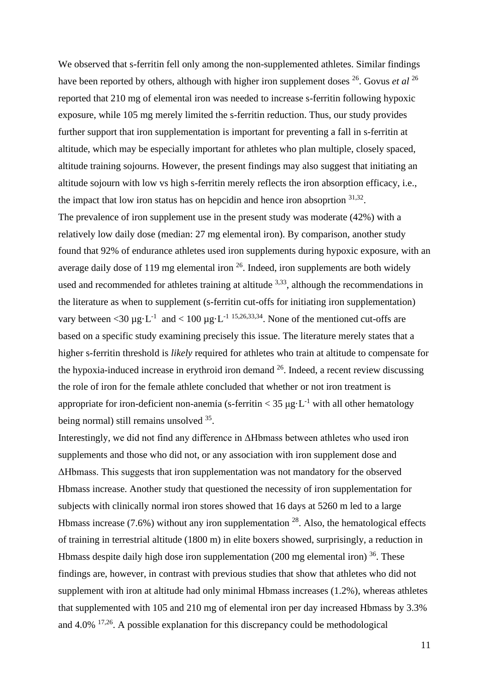We observed that s-ferritin fell only among the non-supplemented athletes. Similar findings have been reported by others, although with higher iron supplement doses <sup>26</sup>. Govus *et al* <sup>26</sup> reported that 210 mg of elemental iron was needed to increase s-ferritin following hypoxic exposure, while 105 mg merely limited the s-ferritin reduction. Thus, our study provides further support that iron supplementation is important for preventing a fall in s-ferritin at altitude, which may be especially important for athletes who plan multiple, closely spaced, altitude training sojourns. However, the present findings may also suggest that initiating an altitude sojourn with low vs high s-ferritin merely reflects the iron absorption efficacy, i.e., the impact that low iron status has on hepcidin and hence iron absoprtion  $31,32$ .

The prevalence of iron supplement use in the present study was moderate (42%) with a relatively low daily dose (median: 27 mg elemental iron). By comparison, another study found that 92% of endurance athletes used iron supplements during hypoxic exposure, with an average daily dose of 119 mg elemental iron <sup>26</sup>. Indeed, iron supplements are both widely used and recommended for athletes training at altitude  $3,33$ , although the recommendations in the literature as when to supplement (s-ferritin cut-offs for initiating iron supplementation) vary between <30  $\mu$ g·L<sup>-1</sup> and < 100  $\mu$ g·L<sup>-1 15,26,33,34</sup>. None of the mentioned cut-offs are based on a specific study examining precisely this issue. The literature merely states that a higher s-ferritin threshold is *likely* required for athletes who train at altitude to compensate for the hypoxia-induced increase in erythroid iron demand  $26$ . Indeed, a recent review discussing the role of iron for the female athlete concluded that whether or not iron treatment is appropriate for iron-deficient non-anemia (s-ferritin  $<$  35  $\mu$ g·L<sup>-1</sup> with all other hematology being normal) still remains unsolved <sup>35</sup>.

Interestingly, we did not find any difference in ΔHbmass between athletes who used iron supplements and those who did not, or any association with iron supplement dose and ΔHbmass. This suggests that iron supplementation was not mandatory for the observed Hbmass increase. Another study that questioned the necessity of iron supplementation for subjects with clinically normal iron stores showed that 16 days at 5260 m led to a large Hbmass increase  $(7.6\%)$  without any iron supplementation  $^{28}$ . Also, the hematological effects of training in terrestrial altitude (1800 m) in elite boxers showed, surprisingly, a reduction in Hbmass despite daily high dose iron supplementation  $(200 \text{ mg}$  elemental iron) <sup>36</sup>. These findings are, however, in contrast with previous studies that show that athletes who did not supplement with iron at altitude had only minimal Hbmass increases (1.2%), whereas athletes that supplemented with 105 and 210 mg of elemental iron per day increased Hbmass by 3.3% and 4.0% 17,26. A possible explanation for this discrepancy could be methodological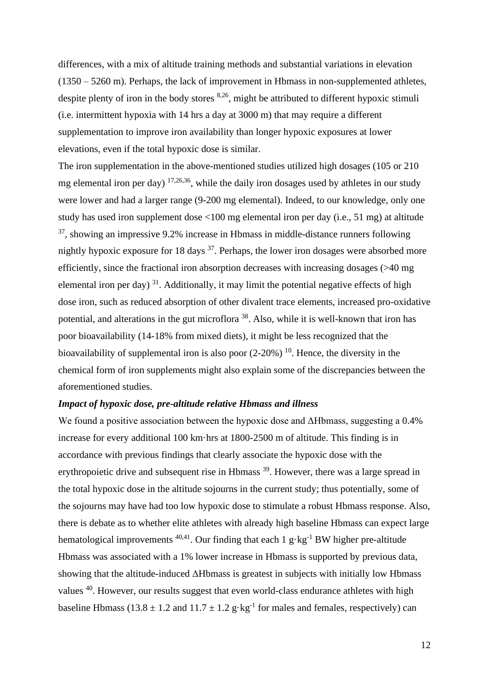differences, with a mix of altitude training methods and substantial variations in elevation (1350 – 5260 m). Perhaps, the lack of improvement in Hbmass in non-supplemented athletes, despite plenty of iron in the body stores  $8,26$ , might be attributed to different hypoxic stimuli (i.e. intermittent hypoxia with 14 hrs a day at 3000 m) that may require a different supplementation to improve iron availability than longer hypoxic exposures at lower elevations, even if the total hypoxic dose is similar.

The iron supplementation in the above-mentioned studies utilized high dosages (105 or 210 mg elemental iron per day)  $17,26,36$ , while the daily iron dosages used by athletes in our study were lower and had a larger range (9-200 mg elemental). Indeed, to our knowledge, only one study has used iron supplement dose <100 mg elemental iron per day (i.e., 51 mg) at altitude  $37$ , showing an impressive 9.2% increase in Hbmass in middle-distance runners following nightly hypoxic exposure for 18 days <sup>37</sup>. Perhaps, the lower iron dosages were absorbed more efficiently, since the fractional iron absorption decreases with increasing dosages (>40 mg elemental iron per day)<sup>31</sup>. Additionally, it may limit the potential negative effects of high dose iron, such as reduced absorption of other divalent trace elements, increased pro-oxidative potential, and alterations in the gut microflora<sup>38</sup>. Also, while it is well-known that iron has poor bioavailability (14-18% from mixed diets), it might be less recognized that the bioavailability of supplemental iron is also poor  $(2\n-20%)$  <sup>10</sup>. Hence, the diversity in the chemical form of iron supplements might also explain some of the discrepancies between the aforementioned studies.

### *Impact of hypoxic dose, pre-altitude relative Hbmass and illness*

We found a positive association between the hypoxic dose and ΔHbmass, suggesting a 0.4% increase for every additional 100 km·hrs at 1800-2500 m of altitude. This finding is in accordance with previous findings that clearly associate the hypoxic dose with the erythropoietic drive and subsequent rise in Hbmass <sup>39</sup>. However, there was a large spread in the total hypoxic dose in the altitude sojourns in the current study; thus potentially, some of the sojourns may have had too low hypoxic dose to stimulate a robust Hbmass response. Also, there is debate as to whether elite athletes with already high baseline Hbmass can expect large hematological improvements <sup>40,41</sup>. Our finding that each 1  $g \cdot kg^{-1}$  BW higher pre-altitude Hbmass was associated with a 1% lower increase in Hbmass is supported by previous data, showing that the altitude-induced ΔHbmass is greatest in subjects with initially low Hbmass values <sup>40</sup>. However, our results suggest that even world-class endurance athletes with high baseline Hbmass (13.8  $\pm$  1.2 and 11.7  $\pm$  1.2 g·kg<sup>-1</sup> for males and females, respectively) can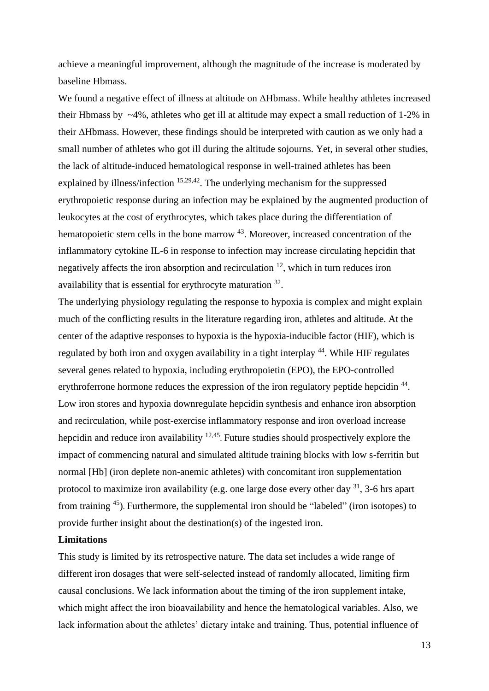achieve a meaningful improvement, although the magnitude of the increase is moderated by baseline Hbmass.

We found a negative effect of illness at altitude on ΔHbmass. While healthy athletes increased their Hbmass by  $\sim$ 4%, athletes who get ill at altitude may expect a small reduction of 1-2% in their ΔHbmass. However, these findings should be interpreted with caution as we only had a small number of athletes who got ill during the altitude sojourns. Yet, in several other studies, the lack of altitude-induced hematological response in well-trained athletes has been explained by illness/infection <sup>15,29,42</sup>. The underlying mechanism for the suppressed erythropoietic response during an infection may be explained by the augmented production of leukocytes at the cost of erythrocytes, which takes place during the differentiation of hematopoietic stem cells in the bone marrow <sup>43</sup>. Moreover, increased concentration of the inflammatory cytokine IL-6 in response to infection may increase circulating hepcidin that negatively affects the iron absorption and recirculation  $12$ , which in turn reduces iron availability that is essential for erythrocyte maturation  $32$ .

The underlying physiology regulating the response to hypoxia is complex and might explain much of the conflicting results in the literature regarding iron, athletes and altitude. At the center of the adaptive responses to hypoxia is the hypoxia-inducible factor (HIF), which is regulated by both iron and oxygen availability in a tight interplay <sup>44</sup>. While HIF regulates several genes related to hypoxia, including erythropoietin (EPO), the EPO-controlled erythroferrone hormone reduces the expression of the iron regulatory peptide hepcidin<sup>44</sup>. Low iron stores and hypoxia downregulate hepcidin synthesis and enhance iron absorption and recirculation, while post-exercise inflammatory response and iron overload increase hepcidin and reduce iron availability <sup>12,45</sup>. Future studies should prospectively explore the impact of commencing natural and simulated altitude training blocks with low s-ferritin but normal [Hb] (iron deplete non-anemic athletes) with concomitant iron supplementation protocol to maximize iron availability (e.g. one large dose every other day  $31$ , 3-6 hrs apart from training  $45$ ). Furthermore, the supplemental iron should be "labeled" (iron isotopes) to provide further insight about the destination(s) of the ingested iron.

# **Limitations**

This study is limited by its retrospective nature. The data set includes a wide range of different iron dosages that were self-selected instead of randomly allocated, limiting firm causal conclusions. We lack information about the timing of the iron supplement intake, which might affect the iron bioavailability and hence the hematological variables. Also, we lack information about the athletes' dietary intake and training. Thus, potential influence of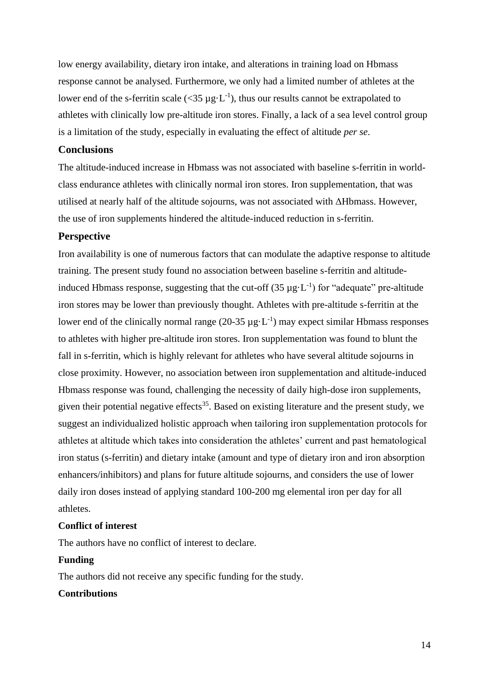low energy availability, dietary iron intake, and alterations in training load on Hbmass response cannot be analysed. Furthermore, we only had a limited number of athletes at the lower end of the s-ferritin scale ( $\langle 35 \mu g \cdot L^{-1} \rangle$ , thus our results cannot be extrapolated to athletes with clinically low pre-altitude iron stores. Finally, a lack of a sea level control group is a limitation of the study, especially in evaluating the effect of altitude *per se*.

## **Conclusions**

The altitude-induced increase in Hbmass was not associated with baseline s-ferritin in worldclass endurance athletes with clinically normal iron stores. Iron supplementation, that was utilised at nearly half of the altitude sojourns, was not associated with ΔHbmass. However, the use of iron supplements hindered the altitude-induced reduction in s-ferritin.

## **Perspective**

Iron availability is one of numerous factors that can modulate the adaptive response to altitude training. The present study found no association between baseline s-ferritin and altitudeinduced Hbmass response, suggesting that the cut-off  $(35 \mu g \cdot L^{-1})$  for "adequate" pre-altitude iron stores may be lower than previously thought. Athletes with pre-altitude s-ferritin at the lower end of the clinically normal range  $(20-35 \mu g \cdot L^{-1})$  may expect similar Hbmass responses to athletes with higher pre-altitude iron stores. Iron supplementation was found to blunt the fall in s-ferritin, which is highly relevant for athletes who have several altitude sojourns in close proximity. However, no association between iron supplementation and altitude-induced Hbmass response was found, challenging the necessity of daily high-dose iron supplements, given their potential negative effects<sup>35</sup>. Based on existing literature and the present study, we suggest an individualized holistic approach when tailoring iron supplementation protocols for athletes at altitude which takes into consideration the athletes' current and past hematological iron status (s-ferritin) and dietary intake (amount and type of dietary iron and iron absorption enhancers/inhibitors) and plans for future altitude sojourns, and considers the use of lower daily iron doses instead of applying standard 100-200 mg elemental iron per day for all athletes.

# **Conflict of interest**

The authors have no conflict of interest to declare.

#### **Funding**

The authors did not receive any specific funding for the study.

# **Contributions**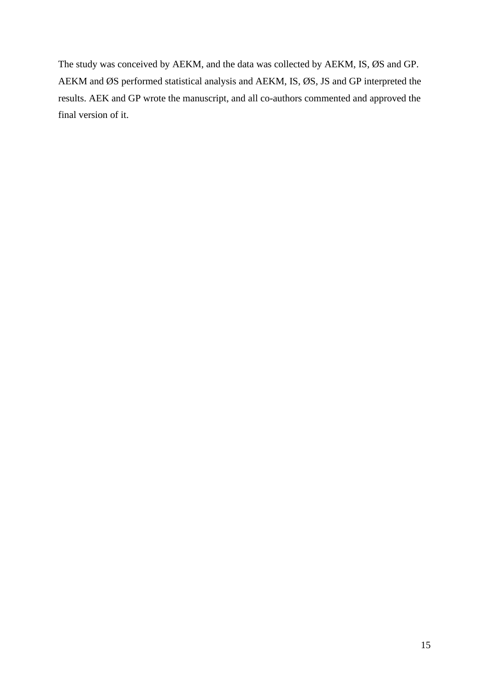The study was conceived by AEKM, and the data was collected by AEKM, IS, ØS and GP. AEKM and ØS performed statistical analysis and AEKM, IS, ØS, JS and GP interpreted the results. AEK and GP wrote the manuscript, and all co-authors commented and approved the final version of it.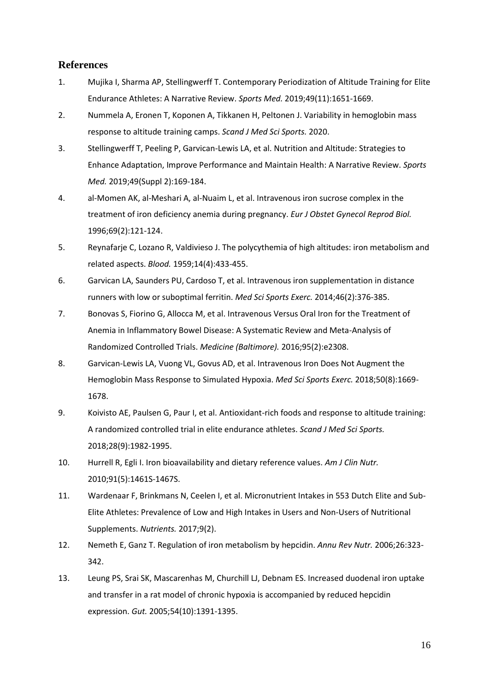# **References**

- 1. Mujika I, Sharma AP, Stellingwerff T. Contemporary Periodization of Altitude Training for Elite Endurance Athletes: A Narrative Review. *Sports Med.* 2019;49(11):1651-1669.
- 2. Nummela A, Eronen T, Koponen A, Tikkanen H, Peltonen J. Variability in hemoglobin mass response to altitude training camps. *Scand J Med Sci Sports.* 2020.
- 3. Stellingwerff T, Peeling P, Garvican-Lewis LA, et al. Nutrition and Altitude: Strategies to Enhance Adaptation, Improve Performance and Maintain Health: A Narrative Review. *Sports Med.* 2019;49(Suppl 2):169-184.
- 4. al-Momen AK, al-Meshari A, al-Nuaim L, et al. Intravenous iron sucrose complex in the treatment of iron deficiency anemia during pregnancy. *Eur J Obstet Gynecol Reprod Biol.*  1996;69(2):121-124.
- 5. Reynafarje C, Lozano R, Valdivieso J. The polycythemia of high altitudes: iron metabolism and related aspects. *Blood.* 1959;14(4):433-455.
- 6. Garvican LA, Saunders PU, Cardoso T, et al. Intravenous iron supplementation in distance runners with low or suboptimal ferritin. *Med Sci Sports Exerc.* 2014;46(2):376-385.
- 7. Bonovas S, Fiorino G, Allocca M, et al. Intravenous Versus Oral Iron for the Treatment of Anemia in Inflammatory Bowel Disease: A Systematic Review and Meta-Analysis of Randomized Controlled Trials. *Medicine (Baltimore).* 2016;95(2):e2308.
- 8. Garvican-Lewis LA, Vuong VL, Govus AD, et al. Intravenous Iron Does Not Augment the Hemoglobin Mass Response to Simulated Hypoxia. *Med Sci Sports Exerc.* 2018;50(8):1669- 1678.
- 9. Koivisto AE, Paulsen G, Paur I, et al. Antioxidant-rich foods and response to altitude training: A randomized controlled trial in elite endurance athletes. *Scand J Med Sci Sports.*  2018;28(9):1982-1995.
- 10. Hurrell R, Egli I. Iron bioavailability and dietary reference values. *Am J Clin Nutr.*  2010;91(5):1461S-1467S.
- 11. Wardenaar F, Brinkmans N, Ceelen I, et al. Micronutrient Intakes in 553 Dutch Elite and Sub-Elite Athletes: Prevalence of Low and High Intakes in Users and Non-Users of Nutritional Supplements. *Nutrients.* 2017;9(2).
- 12. Nemeth E, Ganz T. Regulation of iron metabolism by hepcidin. *Annu Rev Nutr.* 2006;26:323- 342.
- 13. Leung PS, Srai SK, Mascarenhas M, Churchill LJ, Debnam ES. Increased duodenal iron uptake and transfer in a rat model of chronic hypoxia is accompanied by reduced hepcidin expression. *Gut.* 2005;54(10):1391-1395.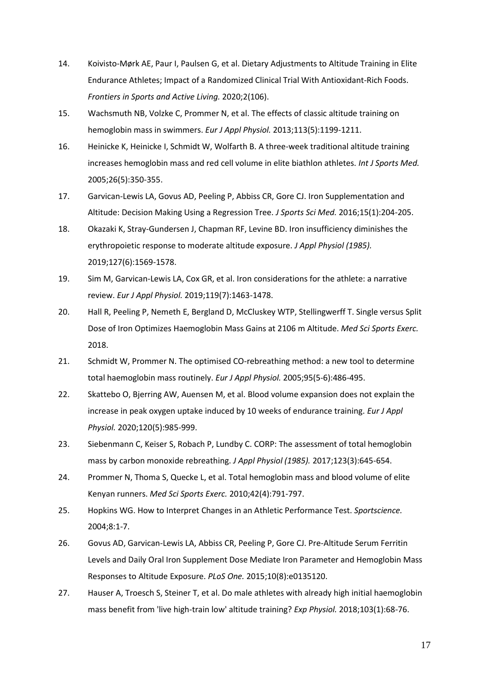- 14. Koivisto-Mørk AE, Paur I, Paulsen G, et al. Dietary Adjustments to Altitude Training in Elite Endurance Athletes; Impact of a Randomized Clinical Trial With Antioxidant-Rich Foods. *Frontiers in Sports and Active Living.* 2020;2(106).
- 15. Wachsmuth NB, Volzke C, Prommer N, et al. The effects of classic altitude training on hemoglobin mass in swimmers. *Eur J Appl Physiol.* 2013;113(5):1199-1211.
- 16. Heinicke K, Heinicke I, Schmidt W, Wolfarth B. A three-week traditional altitude training increases hemoglobin mass and red cell volume in elite biathlon athletes. *Int J Sports Med.*  2005;26(5):350-355.
- 17. Garvican-Lewis LA, Govus AD, Peeling P, Abbiss CR, Gore CJ. Iron Supplementation and Altitude: Decision Making Using a Regression Tree. *J Sports Sci Med.* 2016;15(1):204-205.
- 18. Okazaki K, Stray-Gundersen J, Chapman RF, Levine BD. Iron insufficiency diminishes the erythropoietic response to moderate altitude exposure. *J Appl Physiol (1985).*  2019;127(6):1569-1578.
- 19. Sim M, Garvican-Lewis LA, Cox GR, et al. Iron considerations for the athlete: a narrative review. *Eur J Appl Physiol.* 2019;119(7):1463-1478.
- 20. Hall R, Peeling P, Nemeth E, Bergland D, McCluskey WTP, Stellingwerff T. Single versus Split Dose of Iron Optimizes Haemoglobin Mass Gains at 2106 m Altitude. *Med Sci Sports Exerc.*  2018.
- 21. Schmidt W, Prommer N. The optimised CO-rebreathing method: a new tool to determine total haemoglobin mass routinely. *Eur J Appl Physiol.* 2005;95(5-6):486-495.
- 22. Skattebo O, Bjerring AW, Auensen M, et al. Blood volume expansion does not explain the increase in peak oxygen uptake induced by 10 weeks of endurance training. *Eur J Appl Physiol.* 2020;120(5):985-999.
- 23. Siebenmann C, Keiser S, Robach P, Lundby C. CORP: The assessment of total hemoglobin mass by carbon monoxide rebreathing. *J Appl Physiol (1985).* 2017;123(3):645-654.
- 24. Prommer N, Thoma S, Quecke L, et al. Total hemoglobin mass and blood volume of elite Kenyan runners. *Med Sci Sports Exerc.* 2010;42(4):791-797.
- 25. Hopkins WG. How to Interpret Changes in an Athletic Performance Test. *Sportscience.*  2004;8:1-7.
- 26. Govus AD, Garvican-Lewis LA, Abbiss CR, Peeling P, Gore CJ. Pre-Altitude Serum Ferritin Levels and Daily Oral Iron Supplement Dose Mediate Iron Parameter and Hemoglobin Mass Responses to Altitude Exposure. *PLoS One.* 2015;10(8):e0135120.
- 27. Hauser A, Troesch S, Steiner T, et al. Do male athletes with already high initial haemoglobin mass benefit from 'live high-train low' altitude training? *Exp Physiol.* 2018;103(1):68-76.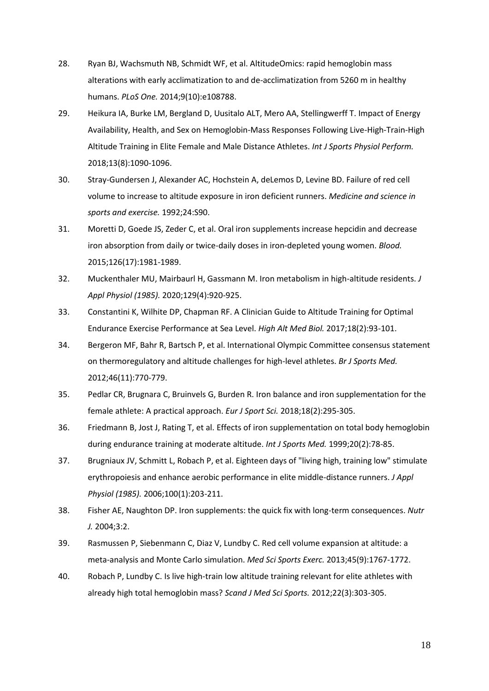- 28. Ryan BJ, Wachsmuth NB, Schmidt WF, et al. AltitudeOmics: rapid hemoglobin mass alterations with early acclimatization to and de-acclimatization from 5260 m in healthy humans. *PLoS One.* 2014;9(10):e108788.
- 29. Heikura IA, Burke LM, Bergland D, Uusitalo ALT, Mero AA, Stellingwerff T. Impact of Energy Availability, Health, and Sex on Hemoglobin-Mass Responses Following Live-High-Train-High Altitude Training in Elite Female and Male Distance Athletes. *Int J Sports Physiol Perform.*  2018;13(8):1090-1096.
- 30. Stray-Gundersen J, Alexander AC, Hochstein A, deLemos D, Levine BD. Failure of red cell volume to increase to altitude exposure in iron deficient runners. *Medicine and science in sports and exercise.* 1992;24:S90.
- 31. Moretti D, Goede JS, Zeder C, et al. Oral iron supplements increase hepcidin and decrease iron absorption from daily or twice-daily doses in iron-depleted young women. *Blood.*  2015;126(17):1981-1989.
- 32. Muckenthaler MU, Mairbaurl H, Gassmann M. Iron metabolism in high-altitude residents. *J Appl Physiol (1985).* 2020;129(4):920-925.
- 33. Constantini K, Wilhite DP, Chapman RF. A Clinician Guide to Altitude Training for Optimal Endurance Exercise Performance at Sea Level. *High Alt Med Biol.* 2017;18(2):93-101.
- 34. Bergeron MF, Bahr R, Bartsch P, et al. International Olympic Committee consensus statement on thermoregulatory and altitude challenges for high-level athletes. *Br J Sports Med.*  2012;46(11):770-779.
- 35. Pedlar CR, Brugnara C, Bruinvels G, Burden R. Iron balance and iron supplementation for the female athlete: A practical approach. *Eur J Sport Sci.* 2018;18(2):295-305.
- 36. Friedmann B, Jost J, Rating T, et al. Effects of iron supplementation on total body hemoglobin during endurance training at moderate altitude. *Int J Sports Med.* 1999;20(2):78-85.
- 37. Brugniaux JV, Schmitt L, Robach P, et al. Eighteen days of "living high, training low" stimulate erythropoiesis and enhance aerobic performance in elite middle-distance runners. *J Appl Physiol (1985).* 2006;100(1):203-211.
- 38. Fisher AE, Naughton DP. Iron supplements: the quick fix with long-term consequences. *Nutr J.* 2004;3:2.
- 39. Rasmussen P, Siebenmann C, Diaz V, Lundby C. Red cell volume expansion at altitude: a meta-analysis and Monte Carlo simulation. *Med Sci Sports Exerc.* 2013;45(9):1767-1772.
- 40. Robach P, Lundby C. Is live high-train low altitude training relevant for elite athletes with already high total hemoglobin mass? *Scand J Med Sci Sports.* 2012;22(3):303-305.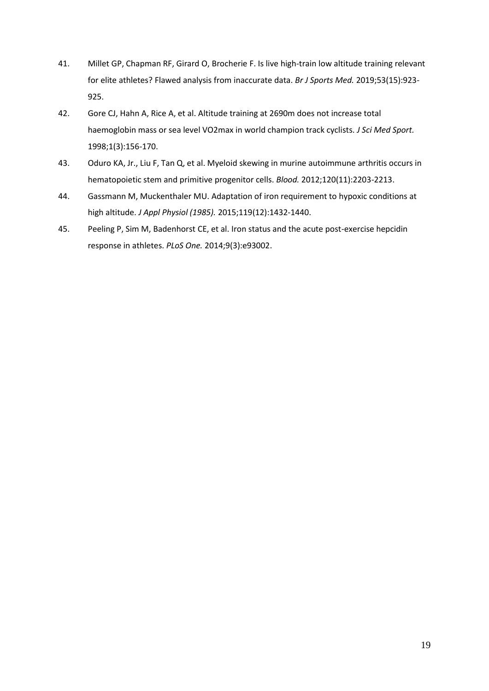- 41. Millet GP, Chapman RF, Girard O, Brocherie F. Is live high-train low altitude training relevant for elite athletes? Flawed analysis from inaccurate data. *Br J Sports Med.* 2019;53(15):923- 925.
- 42. Gore CJ, Hahn A, Rice A, et al. Altitude training at 2690m does not increase total haemoglobin mass or sea level VO2max in world champion track cyclists. *J Sci Med Sport.*  1998;1(3):156-170.
- 43. Oduro KA, Jr., Liu F, Tan Q, et al. Myeloid skewing in murine autoimmune arthritis occurs in hematopoietic stem and primitive progenitor cells. *Blood.* 2012;120(11):2203-2213.
- 44. Gassmann M, Muckenthaler MU. Adaptation of iron requirement to hypoxic conditions at high altitude. *J Appl Physiol (1985).* 2015;119(12):1432-1440.
- 45. Peeling P, Sim M, Badenhorst CE, et al. Iron status and the acute post-exercise hepcidin response in athletes. *PLoS One.* 2014;9(3):e93002.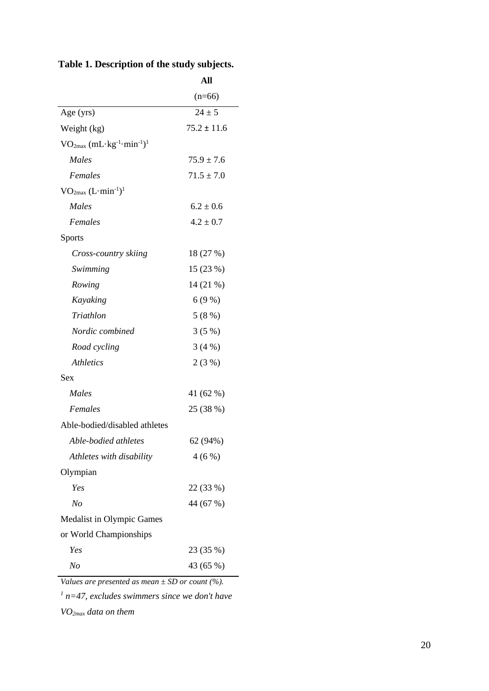|  |  |  | Table 1. Description of the study subjects. |  |  |  |  |  |
|--|--|--|---------------------------------------------|--|--|--|--|--|
|--|--|--|---------------------------------------------|--|--|--|--|--|

|                                                                 | All             |
|-----------------------------------------------------------------|-----------------|
|                                                                 | $(n=66)$        |
| Age (yrs)                                                       | $24 \pm 5$      |
| Weight (kg)                                                     | $75.2 \pm 11.6$ |
| $VO2max$ (mL·kg <sup>-1</sup> ·min <sup>-1</sup> ) <sup>1</sup> |                 |
| Males                                                           | $75.9 \pm 7.6$  |
| Females                                                         | $71.5 \pm 7.0$  |
| $VO_{2max} (L·min-1)1$                                          |                 |
| Males                                                           | $6.2 \pm 0.6$   |
| Females                                                         | $4.2 \pm 0.7$   |
| <b>Sports</b>                                                   |                 |
| Cross-country skiing                                            | 18 (27 %)       |
| Swimming                                                        | 15 (23 %)       |
| Rowing                                                          | 14 (21 %)       |
| Kayaking                                                        | 6(9%)           |
| Triathlon                                                       | 5(8%)           |
| Nordic combined                                                 | 3(5%)           |
| Road cycling                                                    | 3(4%)           |
| <i>Athletics</i>                                                | 2(3%)           |
| Sex                                                             |                 |
| Males                                                           | 41 (62 %)       |
| Females                                                         | 25 (38 %)       |
| Able-bodied/disabled athletes                                   |                 |
| Able-bodied athletes                                            | 62 (94%)        |
| Athletes with disability                                        | 4(6%)           |
| Olympian                                                        |                 |
| Yes                                                             | 22 (33 %)       |
| No                                                              | 44 (67 %)       |
| Medalist in Olympic Games                                       |                 |
| or World Championships                                          |                 |
| Yes                                                             | 23 (35 %)       |
| No                                                              | 43 (65 %)       |
|                                                                 |                 |

*Values are presented as mean ± SD or count (%).*

*1 n=47, excludes swimmers since we don't have* 

*VO2max data on them*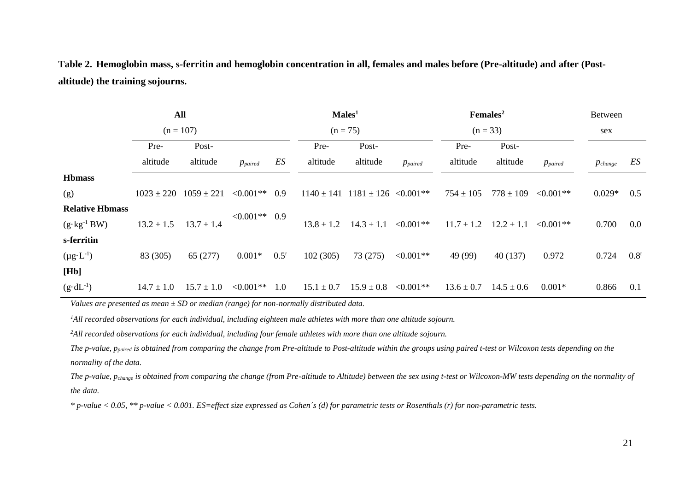**Table 2. Hemoglobin mass, s-ferritin and hemoglobin concentration in all, females and males before (Pre-altitude) and after (Postaltitude) the training sojourns.**

|                        |                | All            |                |               |                | Males <sup>1</sup>       |              |                | Females <sup>2</sup> |                | <b>Between</b> |                  |
|------------------------|----------------|----------------|----------------|---------------|----------------|--------------------------|--------------|----------------|----------------------|----------------|----------------|------------------|
| $(n = 107)$            |                |                |                | $(n = 75)$    |                |                          |              | $(n = 33)$     |                      | sex            |                |                  |
|                        | Pre-           | Post-          |                |               | Pre-           | Post-                    |              | Pre-           | Post-                |                |                |                  |
|                        | altitude       | altitude       | $p_{paired}$   | ES            | altitude       | altitude                 | $p_{paired}$ | altitude       | altitude             | $p_{paired}$   | $p_{change}$   | ES               |
| <b>Hbmass</b>          |                |                |                |               |                |                          |              |                |                      |                |                |                  |
| (g)                    | $1023 \pm 220$ | $1059 \pm 221$ | $< 0.001$ **   | 0.9           | $1140 \pm 141$ | $1181 \pm 126$ < 0.001** |              | $754 \pm 105$  | $778 \pm 109$        | $< 0.001**$    | $0.029*$       | 0.5              |
| <b>Relative Hbmass</b> |                |                | $<0.001**$ 0.9 |               |                |                          |              |                |                      |                |                |                  |
| $(g \cdot kg^{-1}BW)$  | $13.2 \pm 1.5$ | $13.7 \pm 1.4$ |                |               | $13.8 \pm 1.2$ | $14.3 \pm 1.1$           | $< 0.001$ ** | $11.7 \pm 1.2$ | $12.2 \pm 1.1$       | $\leq 0.001**$ | 0.700          | $0.0\,$          |
| s-ferritin             |                |                |                |               |                |                          |              |                |                      |                |                |                  |
| $(\mu g \cdot L^{-1})$ | 83 (305)       | 65(277)        | $0.001*$       | $0.5^{\rm r}$ | 102(305)       | 73(275)                  | $< 0.001$ ** | 49 (99)        | 40 (137)             | 0.972          | 0.724          | 0.8 <sup>r</sup> |
| [Hb]                   |                |                |                |               |                |                          |              |                |                      |                |                |                  |
| $(g \cdot dL^{-1})$    | $14.7 \pm 1.0$ | $15.7 \pm 1.0$ | $< 0.001**$    | 1.0           | $15.1 \pm 0.7$ | $15.9 \pm 0.8$           | $< 0.001$ ** | $13.6 \pm 0.7$ | $14.5 \pm 0.6$       | $0.001*$       | 0.866          | 0.1              |
|                        |                |                |                |               |                |                          |              |                |                      |                |                |                  |

*Values are presented as mean ± SD or median (range) for non-normally distributed data.*

*<sup>1</sup>All recorded observations for each individual, including eighteen male athletes with more than one altitude sojourn.*

*<sup>2</sup>All recorded observations for each individual, including four female athletes with more than one altitude sojourn.*

*The p-value, ppaired is obtained from comparing the change from Pre-altitude to Post-altitude within the groups using paired t-test or Wilcoxon tests depending on the normality of the data.*

*The p-value, pchange is obtained from comparing the change (from Pre-altitude to Altitude) between the sex using t-test or Wilcoxon-MW tests depending on the normality of the data.*

*\* p-value < 0.05, \*\* p-value < 0.001. ES=effect size expressed as Cohen´s (d) for parametric tests or Rosenthals (r) for non-parametric tests.*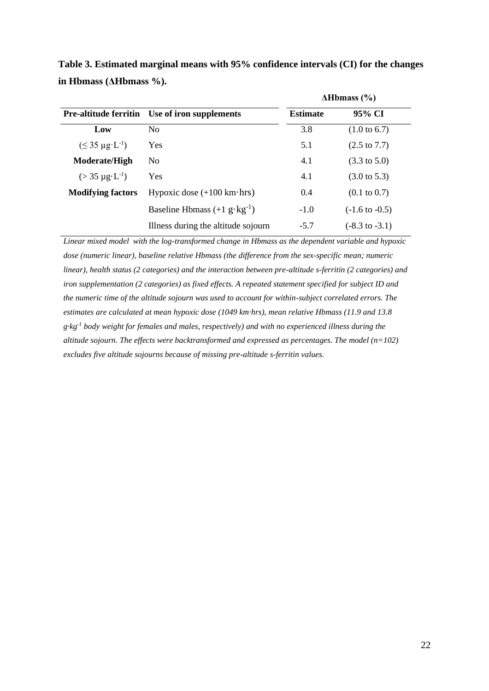|                                |                                                       | $\Delta$ Hbmass (%) |                           |  |  |
|--------------------------------|-------------------------------------------------------|---------------------|---------------------------|--|--|
|                                | <b>Pre-altitude ferritin</b> Use of iron supplements  | <b>Estimate</b>     | 95% CI                    |  |  |
| Low                            | No.                                                   | 3.8                 | $(1.0 \text{ to } 6.7)$   |  |  |
| $(\leq 35 \mu g \cdot L^{-1})$ | <b>Yes</b>                                            | 5.1                 | $(2.5 \text{ to } 7.7)$   |  |  |
| <b>Moderate/High</b>           | No                                                    | 4.1                 | $(3.3 \text{ to } 5.0)$   |  |  |
| $(> 35 \mu g \cdot L^{-1})$    | <b>Yes</b>                                            | 4.1                 | $(3.0 \text{ to } 5.3)$   |  |  |
| <b>Modifying factors</b>       | Hypoxic dose $(+100 \text{ km} \cdot \text{hrs})$     | 0.4                 | $(0.1 \text{ to } 0.7)$   |  |  |
|                                | Baseline Hbmass $(+1 \text{ g} \cdot \text{kg}^{-1})$ | $-1.0$              | $(-1.6 \text{ to } -0.5)$ |  |  |
|                                | Illness during the altitude sojourn                   | $-5.7$              | $(-8.3 \text{ to } -3.1)$ |  |  |

**Table 3. Estimated marginal means with 95% confidence intervals (CI) for the changes in Hbmass (ΔHbmass %).**

*Linear mixed model with the log-transformed change in Hbmass as the dependent variable and hypoxic dose (numeric linear), baseline relative Hbmass (the difference from the sex-specific mean; numeric linear), health status (2 categories) and the interaction between pre-altitude s-ferritin (2 categories) and iron supplementation (2 categories) as fixed effects. A repeated statement specified for subject ID and the numeric time of the altitude sojourn was used to account for within-subject correlated errors. The estimates are calculated at mean hypoxic dose (1049 km·hrs), mean relative Hbmass (11.9 and 13.8 g·kg-1 body weight for females and males, respectively) and with no experienced illness during the altitude sojourn. The effects were backtransformed and expressed as percentages. The model (n=102) excludes five altitude sojourns because of missing pre-altitude s-ferritin values.*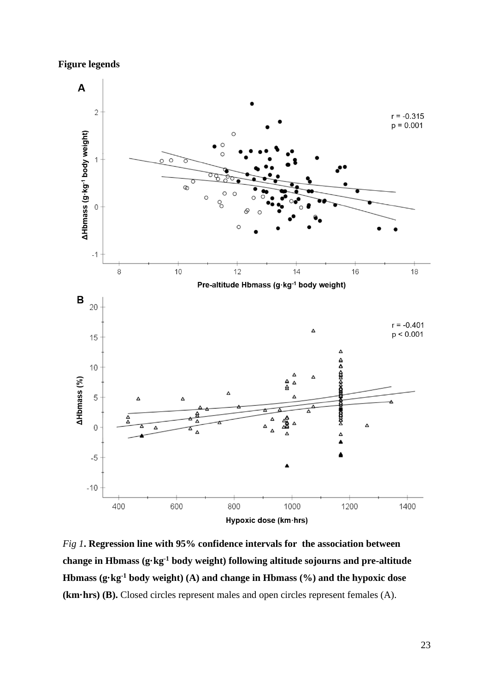**Figure legends**



*Fig 1***. Regression line with 95% confidence intervals for the association between change in Hbmass (g·kg-1 body weight) following altitude sojourns and pre-altitude Hbmass (g·kg-1 body weight) (A) and change in Hbmass (%) and the hypoxic dose (km·hrs) (B).** Closed circles represent males and open circles represent females (A).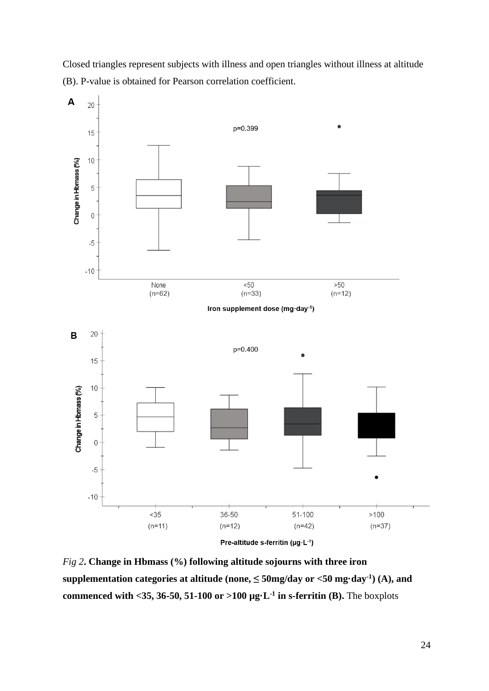Closed triangles represent subjects with illness and open triangles without illness at altitude (B). P-value is obtained for Pearson correlation coefficient.



*Fig 2***. Change in Hbmass (%) following altitude sojourns with three iron**   $supplementation categories at altitude (none,  $\leq$  50mg/day or  $<$ 50 mg day<sup>-1</sup>) (A), and$ **commenced with <35, 36-50, 51-100 or >100**  $\mu$ **g·L<sup>-1</sup> in s-ferritin (B). The boxplots**